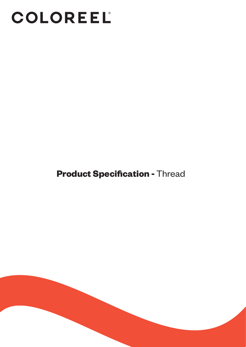# COLOREEL

### **Product Specification -** Thread

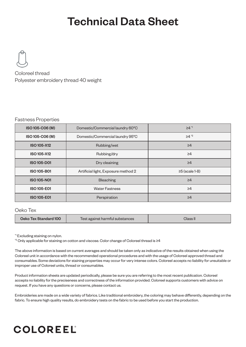## Technical Data Sheet



Coloreel thread Polyester embroidery thread 40 weight

#### Fastness Properties

| ISO 105-C06 (M)    | Domestic/Commercial laundry 60°C    | ≥4 <sup>∗1</sup>     |
|--------------------|-------------------------------------|----------------------|
| ISO 105-C06 (M)    | Domestic/Commercial laundry 95°C    | $\geq 4^{2}$         |
| <b>ISO 105-X12</b> | Rubbing/wet                         | $\geq 4$             |
| <b>ISO 105-X12</b> | Rubbing/dry                         | $\geq 4$             |
| <b>ISO 105-D01</b> | Dry cleaining                       | $\geq 4$             |
| <b>ISO 105-B01</b> | Artificial light, Exposure method 2 | $\geq$ 5 (scale 1-8) |
| <b>ISO 105-N01</b> | <b>Bleaching</b>                    | $\geq 4$             |
| <b>ISO 105-E01</b> | <b>Water Fastness</b>               | $\geq 4$             |
| <b>ISO 105-E01</b> | Perspiration                        | $\geq 4$             |

#### Oeko Tex

| Oeko Tex Standard 100 | Test against harmful substances | Class II |
|-----------------------|---------------------------------|----------|
|-----------------------|---------------------------------|----------|

\*1 Excluding staining on nylon.

\*2 Only applicable for staining on cotton and viscose. Color change of Coloreel thread is ≥4

The above information is based on current averages and should be taken only as indicative of the results obtained when using the Coloreel unit in accordance with the recommended operational procedures and with the usage of Coloreel approved thread and consumables. Some deviations for staining properties may occur for very intense colors. Coloreel accepts no liability for unsuitable or improper use of Coloreel units, thread or consumables.

Product information sheets are updated periodically, please be sure you are referring to the most recent publication. Coloreel accepts no liability for the preciseness and correctness of the information provided. Coloreel supports customers with advice on request. If you have any questions or concerns, please contact us.

Embroideries are made on a wide variety of fabrics. Like traditional embroidery, the coloring may behave differently, depending on the fabric. To ensure high quality results, do embroidery tests on the fabric to be used before you start the production.

### **COLOREEL**